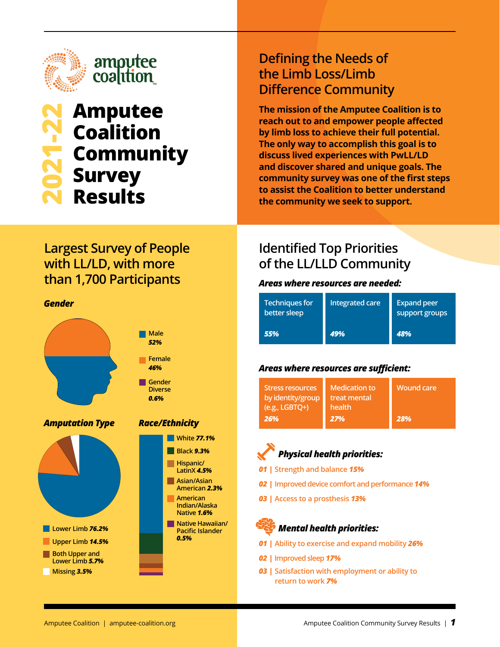

# **2021-22 Amputee Coalition Community Survey Results**

### **Defining the Needs of the Limb Loss/Limb Difference Community**

**The mission of the Amputee Coalition is to reach out to and empower people affected by limb loss to achieve their full potential. The only way to accomplish this goal is to discuss lived experiences with PwLL/LD and discover shared and unique goals. The community survey was one of the first steps to assist the Coalition to better understand the community we seek to support.**

### **Largest Survey of People with LL/LD, with more than 1,700 Participants**

#### *Gender*



### *Race/Ethnicity*



### **Identified Top Priorities of the LL/LLD Community**

#### *Areas where resources are needed:*

| <b>Techniques for</b><br>better sleep | Integrated care | <b>Expand peer</b><br>support groups |
|---------------------------------------|-----------------|--------------------------------------|
| 55%                                   | 49%             | 48%                                  |

#### *Areas where resources are sufficient:*

| <b>Stress resources</b><br>by identity/group<br>$(e.g., LGBTQ+)$ | <b>Medication to</b><br>treat mental<br>health | <b>Wound care</b> |
|------------------------------------------------------------------|------------------------------------------------|-------------------|
| <b>26%</b>                                                       | 27%                                            | 28%               |



- *01 |* **Strength and balance** *15%*
- *02 |* **Improved device comfort and performance** *14%*
- *03 |* **Access to a prosthesis** *13%*

## *Mental health priorities:*

- *01 |* **Ability to exercise and expand mobility** *26%*
- *02 |* **Improved sleep** *17%*
- *03 |* **Satisfaction with employment or ability to return to work** *7%*

**Lower Limb** *76.2%* **Upper Limb** *14.5%* **Both Upper and Lower Limb** *5.7%* **Missing** *3.5%*